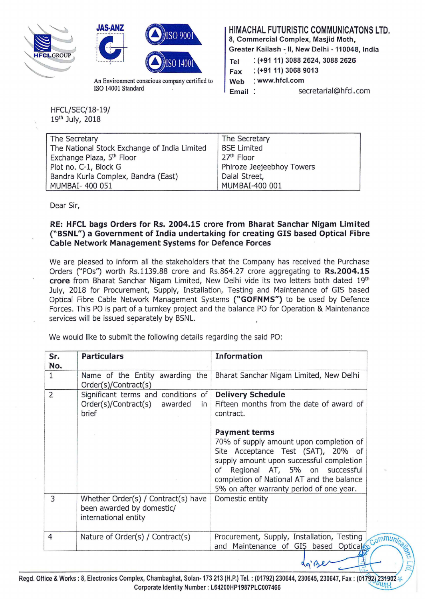





ISO 14001 Standard **Email** Secretarial@hfcl.com An Environment conscious company certified to

HIMACHAL FUTURISTIC COMMUNICATONS LTD.

8, Commercial Complex, Masjid Moth, Greater Kailash - II, New Delhi - 110048, India

Tel : (+9111) 3088 2624, 3088 2626 Fax : (+9111) 3068 9013

Web : www.hfcl.com

' "':.;  $\mathcal{L}$ 

do Be

 $\overline{\phantom{a}}$ 

ommu

 $\approx$ 

HFCL/SEC/18-19/ 19th July, 2018

| The Secretary                                | The Secretary             |
|----------------------------------------------|---------------------------|
| The National Stock Exchange of India Limited | <b>BSE Limited</b>        |
| Exchange Plaza, 5 <sup>th</sup> Floor        | 27 <sup>th</sup> Floor    |
| Plot no. C-1, Block G                        | Phiroze Jeejeebhoy Towers |
| Bandra Kurla Complex, Bandra (East)          | Dalal Street,             |
| MUMBAI- 400 051                              | MUMBAI-400 001            |

Dear Sir,

## RE: HFCL bags Orders for Rs. 2004.15 crore from Bharat Sanchar Nigam Limited ("BSNL") a Government of India undertaking for creating GIS based Optical Fibre Cable Network Management Systems for Defence Forces

We are pleased to inform all the stakeholders that the Company has received the Purchase Orders ("POs'') worth Rs.1139.88 crore and Rs.864.27 crore aggregating to Rs.2004.15 crore from Bharat Sanchar Nigam Limited, New Delhi vide its two letters both dated 19th July, 2018 for Procurement, Supply, Installation, Testing and Maintenance of GIS based Optical Fibre Cable Network Management Systems ("GOFNMS") to be used by Defence Forces. This PO is part of a turnkey project and the balance PO for Operation & Maintenance services will be issued separately by BSNL.

We would like to submit the following details regarding the said PO:

| Sr.<br>No.     | <b>Particulars</b>                                                                       | <b>Information</b>                                                                                                                                                                                                                                                                                                                                                  |
|----------------|------------------------------------------------------------------------------------------|---------------------------------------------------------------------------------------------------------------------------------------------------------------------------------------------------------------------------------------------------------------------------------------------------------------------------------------------------------------------|
| 1              | Name of the Entity awarding the<br>Order(s)/Contract(s)                                  | Bharat Sanchar Nigam Limited, New Delhi                                                                                                                                                                                                                                                                                                                             |
| $\overline{2}$ | Significant terms and conditions of<br>Order(s)/Contract(s) awarded<br>in<br>brief       | <b>Delivery Schedule</b><br>Fifteen months from the date of award of<br>contract.<br><b>Payment terms</b><br>70% of supply amount upon completion of<br>Site Acceptance Test (SAT), 20% of<br>supply amount upon successful completion<br>of Regional AT, 5% on successful<br>completion of National AT and the balance<br>5% on after warranty period of one year. |
| 3              | Whether Order(s) / Contract(s) have<br>been awarded by domestic/<br>international entity | Domestic entity                                                                                                                                                                                                                                                                                                                                                     |
| $\overline{4}$ | Nature of Order(s) / Contract(s)                                                         | Procurement, Supply, Installation, Testing<br>and Maintenance of GIS based Optical                                                                                                                                                                                                                                                                                  |
|                |                                                                                          | $\Lambda$ $\Lambda$                                                                                                                                                                                                                                                                                                                                                 |